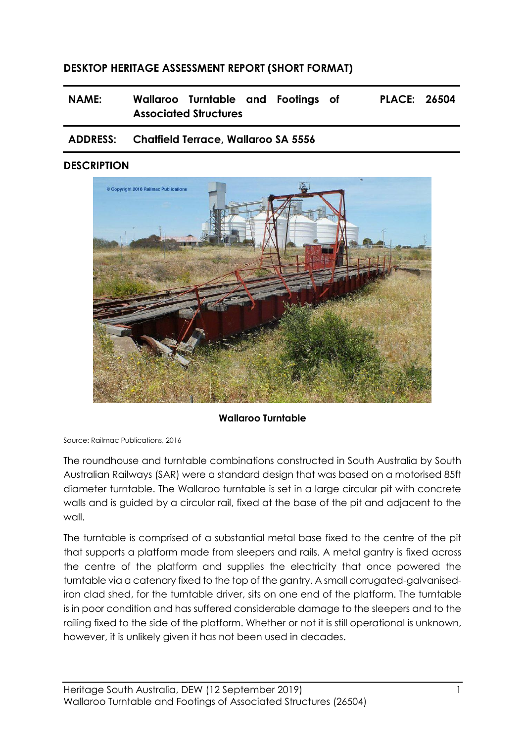# **DESKTOP HERITAGE ASSESSMENT REPORT (SHORT FORMAT)**

**NAME: Wallaroo Turntable and Footings of Associated Structures PLACE: 26504**

### **ADDRESS: Chatfield Terrace, Wallaroo SA 5556**

#### **DESCRIPTION**



#### **Wallaroo Turntable**

Source: Railmac Publications, 2016

The roundhouse and turntable combinations constructed in South Australia by South Australian Railways (SAR) were a standard design that was based on a motorised 85ft diameter turntable. The Wallaroo turntable is set in a large circular pit with concrete walls and is guided by a circular rail, fixed at the base of the pit and adjacent to the wall.

The turntable is comprised of a substantial metal base fixed to the centre of the pit that supports a platform made from sleepers and rails. A metal gantry is fixed across the centre of the platform and supplies the electricity that once powered the turntable via a catenary fixed to the top of the gantry. A small corrugated-galvanisediron clad shed, for the turntable driver, sits on one end of the platform. The turntable is in poor condition and has suffered considerable damage to the sleepers and to the railing fixed to the side of the platform. Whether or not it is still operational is unknown, however, it is unlikely given it has not been used in decades.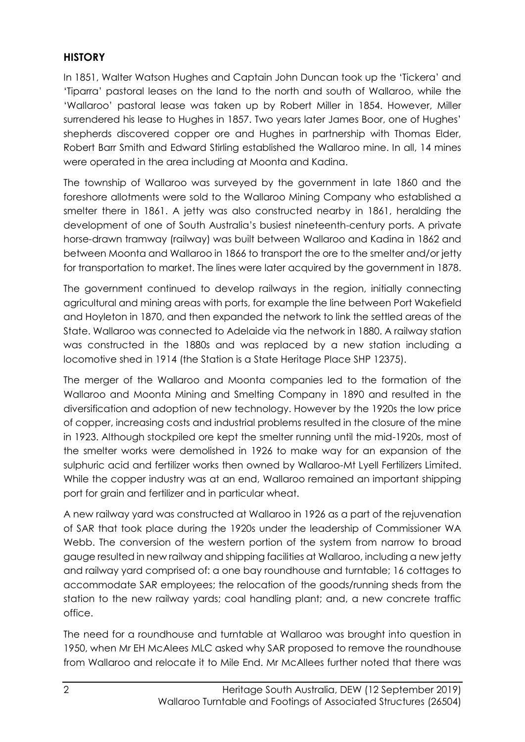# **HISTORY**

In 1851, Walter Watson Hughes and Captain John Duncan took up the 'Tickera' and 'Tiparra' pastoral leases on the land to the north and south of Wallaroo, while the 'Wallaroo' pastoral lease was taken up by Robert Miller in 1854. However, Miller surrendered his lease to Hughes in 1857. Two years later James Boor, one of Hughes' shepherds discovered copper ore and Hughes in partnership with Thomas Elder, Robert Barr Smith and Edward Stirling established the Wallaroo mine. In all, 14 mines were operated in the area including at Moonta and Kadina.

The township of Wallaroo was surveyed by the government in late 1860 and the foreshore allotments were sold to the Wallaroo Mining Company who established a smelter there in 1861. A jetty was also constructed nearby in 1861, heralding the development of one of South Australia's busiest nineteenth-century ports. A private horse-drawn tramway (railway) was built between Wallaroo and Kadina in 1862 and between Moonta and Wallaroo in 1866 to transport the ore to the smelter and/or jetty for transportation to market. The lines were later acquired by the government in 1878.

The government continued to develop railways in the region, initially connecting agricultural and mining areas with ports, for example the line between Port Wakefield and Hoyleton in 1870, and then expanded the network to link the settled areas of the State. Wallaroo was connected to Adelaide via the network in 1880. A railway station was constructed in the 1880s and was replaced by a new station including a locomotive shed in 1914 (the Station is a State Heritage Place SHP 12375).

The merger of the Wallaroo and Moonta companies led to the formation of the Wallaroo and Moonta Mining and Smelting Company in 1890 and resulted in the diversification and adoption of new technology. However by the 1920s the low price of copper, increasing costs and industrial problems resulted in the closure of the mine in 1923. Although stockpiled ore kept the smelter running until the mid-1920s, most of the smelter works were demolished in 1926 to make way for an expansion of the sulphuric acid and fertilizer works then owned by Wallaroo-Mt Lyell Fertilizers Limited. While the copper industry was at an end, Wallaroo remained an important shipping port for grain and fertilizer and in particular wheat.

A new railway yard was constructed at Wallaroo in 1926 as a part of the rejuvenation of SAR that took place during the 1920s under the leadership of Commissioner WA Webb. The conversion of the western portion of the system from narrow to broad gauge resulted in new railway and shipping facilities at Wallaroo, including a new jetty and railway yard comprised of: a one bay roundhouse and turntable; 16 cottages to accommodate SAR employees; the relocation of the goods/running sheds from the station to the new railway yards; coal handling plant; and, a new concrete traffic office.

The need for a roundhouse and turntable at Wallaroo was brought into question in 1950, when Mr EH McAlees MLC asked why SAR proposed to remove the roundhouse from Wallaroo and relocate it to Mile End. Mr McAllees further noted that there was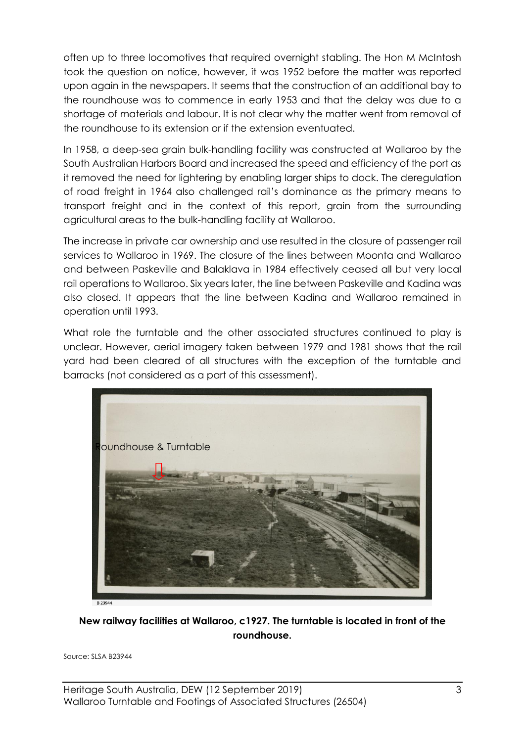often up to three locomotives that required overnight stabling. The Hon M McIntosh took the question on notice, however, it was 1952 before the matter was reported upon again in the newspapers. It seems that the construction of an additional bay to the roundhouse was to commence in early 1953 and that the delay was due to a shortage of materials and labour. It is not clear why the matter went from removal of the roundhouse to its extension or if the extension eventuated.

In 1958, a deep-sea grain bulk-handling facility was constructed at Wallaroo by the South Australian Harbors Board and increased the speed and efficiency of the port as it removed the need for lightering by enabling larger ships to dock. The deregulation of road freight in 1964 also challenged rail's dominance as the primary means to transport freight and in the context of this report, grain from the surrounding agricultural areas to the bulk-handling facility at Wallaroo.

The increase in private car ownership and use resulted in the closure of passenger rail services to Wallaroo in 1969. The closure of the lines between Moonta and Wallaroo and between Paskeville and Balaklava in 1984 effectively ceased all but very local rail operations to Wallaroo. Six years later, the line between Paskeville and Kadina was also closed. It appears that the line between Kadina and Wallaroo remained in operation until 1993.

What role the turntable and the other associated structures continued to play is unclear. However, aerial imagery taken between 1979 and 1981 shows that the rail yard had been cleared of all structures with the exception of the turntable and barracks (not considered as a part of this assessment).



### **New railway facilities at Wallaroo, c1927. The turntable is located in front of the roundhouse.**

Source: SLSA B23944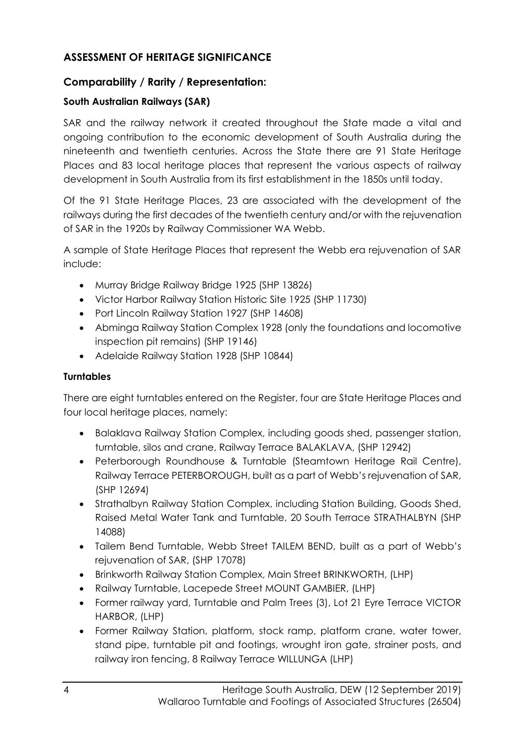# **ASSESSMENT OF HERITAGE SIGNIFICANCE**

# **Comparability / Rarity / Representation:**

### **South Australian Railways (SAR)**

SAR and the railway network it created throughout the State made a vital and ongoing contribution to the economic development of South Australia during the nineteenth and twentieth centuries. Across the State there are 91 State Heritage Places and 83 local heritage places that represent the various aspects of railway development in South Australia from its first establishment in the 1850s until today.

Of the 91 State Heritage Places, 23 are associated with the development of the railways during the first decades of the twentieth century and/or with the rejuvenation of SAR in the 1920s by Railway Commissioner WA Webb.

A sample of State Heritage Places that represent the Webb era rejuvenation of SAR include:

- Murray Bridge Railway Bridge 1925 (SHP 13826)
- Victor Harbor Railway Station Historic Site 1925 (SHP 11730)
- Port Lincoln Railway Station 1927 (SHP 14608)
- Abminga Railway Station Complex 1928 (only the foundations and locomotive inspection pit remains) (SHP 19146)
- Adelaide Railway Station 1928 (SHP 10844)

### **Turntables**

There are eight turntables entered on the Register, four are State Heritage Places and four local heritage places, namely:

- Balaklava Railway Station Complex, including goods shed, passenger station, turntable, silos and crane, Railway Terrace BALAKLAVA, (SHP 12942)
- Peterborough Roundhouse & Turntable (Steamtown Heritage Rail Centre), Railway Terrace PETERBOROUGH, built as a part of Webb's rejuvenation of SAR, (SHP 12694)
- Strathalbyn Railway Station Complex, including Station Building, Goods Shed, Raised Metal Water Tank and Turntable, 20 South Terrace STRATHALBYN (SHP 14088)
- Tailem Bend Turntable, Webb Street TAILEM BEND, built as a part of Webb's rejuvenation of SAR, (SHP 17078)
- Brinkworth Railway Station Complex, Main Street BRINKWORTH, (LHP)
- Railway Turntable, Lacepede Street MOUNT GAMBIER, (LHP)
- Former railway yard, Turntable and Palm Trees (3), Lot 21 Eyre Terrace VICTOR HARBOR, (LHP)
- Former Railway Station, platform, stock ramp, platform crane, water tower, stand pipe, turntable pit and footings, wrought iron gate, strainer posts, and railway iron fencing, 8 Railway Terrace WILLUNGA (LHP)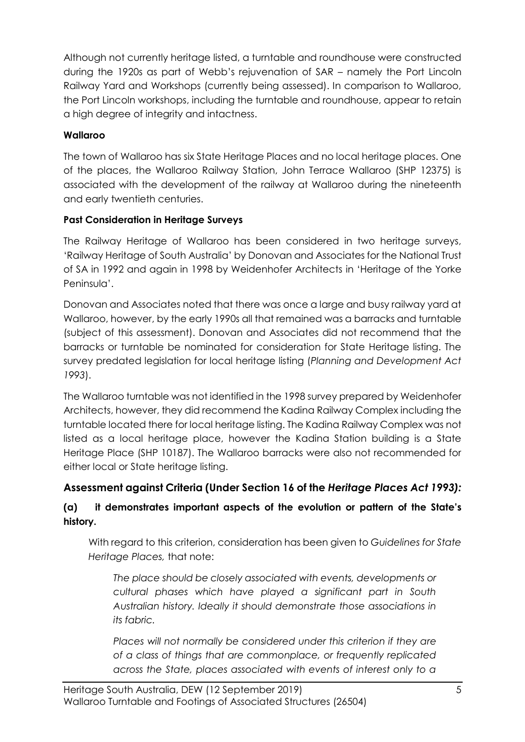Although not currently heritage listed, a turntable and roundhouse were constructed during the 1920s as part of Webb's rejuvenation of SAR – namely the Port Lincoln Railway Yard and Workshops (currently being assessed). In comparison to Wallaroo, the Port Lincoln workshops, including the turntable and roundhouse, appear to retain a high degree of integrity and intactness.

## **Wallaroo**

The town of Wallaroo has six State Heritage Places and no local heritage places. One of the places, the Wallaroo Railway Station, John Terrace Wallaroo (SHP 12375) is associated with the development of the railway at Wallaroo during the nineteenth and early twentieth centuries.

### **Past Consideration in Heritage Surveys**

The Railway Heritage of Wallaroo has been considered in two heritage surveys, 'Railway Heritage of South Australia' by Donovan and Associates for the National Trust of SA in 1992 and again in 1998 by Weidenhofer Architects in 'Heritage of the Yorke Peninsula'.

Donovan and Associates noted that there was once a large and busy railway yard at Wallaroo, however, by the early 1990s all that remained was a barracks and turntable (subject of this assessment). Donovan and Associates did not recommend that the barracks or turntable be nominated for consideration for State Heritage listing. The survey predated legislation for local heritage listing (*Planning and Development Act 1993*).

The Wallaroo turntable was not identified in the 1998 survey prepared by Weidenhofer Architects, however, they did recommend the Kadina Railway Complex including the turntable located there for local heritage listing. The Kadina Railway Complex was not listed as a local heritage place, however the Kadina Station building is a State Heritage Place (SHP 10187). The Wallaroo barracks were also not recommended for either local or State heritage listing.

# **Assessment against Criteria (Under Section 16 of the** *Heritage Places Act 1993):*

# **(a) it demonstrates important aspects of the evolution or pattern of the State's history.**

With regard to this criterion, consideration has been given to *Guidelines for State Heritage Places,* that note:

*The place should be closely associated with events, developments or cultural phases which have played a significant part in South Australian history. Ideally it should demonstrate those associations in its fabric.*

*Places will not normally be considered under this criterion if they are of a class of things that are commonplace, or frequently replicated across the State, places associated with events of interest only to a*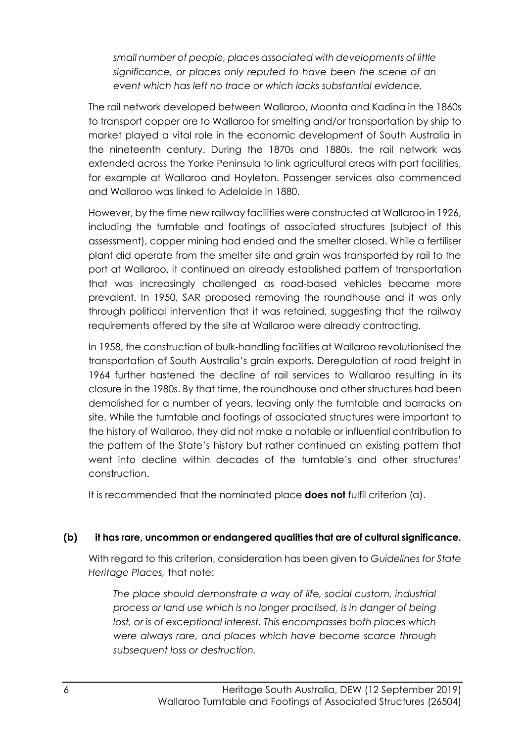*small number of people, places associated with developments of little significance, or places only reputed to have been the scene of an event which has left no trace or which lacks substantial evidence.*

The rail network developed between Wallaroo, Moonta and Kadina in the 1860s to transport copper ore to Wallaroo for smelting and/or transportation by ship to market played a vital role in the economic development of South Australia in the nineteenth century. During the 1870s and 1880s, the rail network was extended across the Yorke Peninsula to link agricultural areas with port facilities, for example at Wallaroo and Hoyleton. Passenger services also commenced and Wallaroo was linked to Adelaide in 1880.

However, by the time new railway facilities were constructed at Wallaroo in 1926, including the turntable and footings of associated structures (subject of this assessment), copper mining had ended and the smelter closed. While a fertiliser plant did operate from the smelter site and grain was transported by rail to the port at Wallaroo, it continued an already established pattern of transportation that was increasingly challenged as road-based vehicles became more prevalent. In 1950, SAR proposed removing the roundhouse and it was only through political intervention that it was retained, suggesting that the railway requirements offered by the site at Wallaroo were already contracting.

In 1958, the construction of bulk-handling facilities at Wallaroo revolutionised the transportation of South Australia's grain exports. Deregulation of road freight in 1964 further hastened the decline of rail services to Wallaroo resulting in its closure in the 1980s. By that time, the roundhouse and other structures had been demolished for a number of years, leaving only the turntable and barracks on site. While the turntable and footings of associated structures were important to the history of Wallaroo, they did not make a notable or influential contribution to the pattern of the State's history but rather continued an existing pattern that went into decline within decades of the turntable's and other structures' construction.

It is recommended that the nominated place **does not** fulfil criterion (a).

# **(b) it has rare, uncommon or endangered qualities that are of cultural significance.**

With regard to this criterion, consideration has been given to *Guidelines for State Heritage Places,* that note:

*The place should demonstrate a way of life, social custom, industrial process or land use which is no longer practised, is in danger of being lost, or is of exceptional interest. This encompasses both places which were always rare, and places which have become scarce through subsequent loss or destruction.*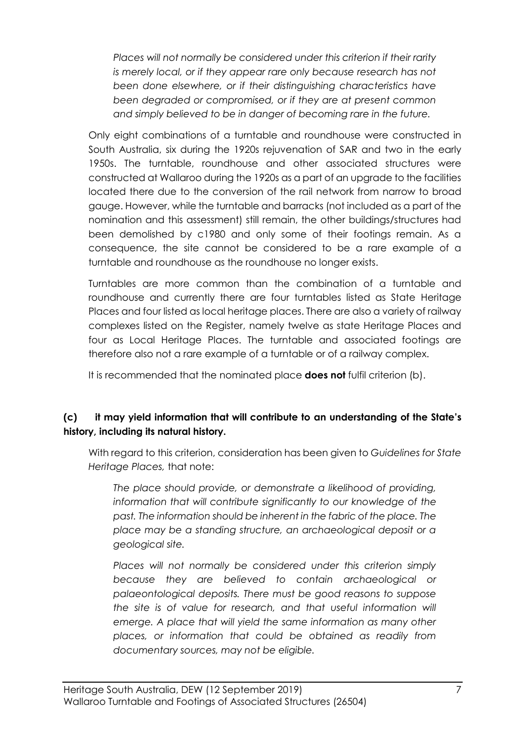*Places will not normally be considered under this criterion if their rarity is merely local, or if they appear rare only because research has not been done elsewhere, or if their distinguishing characteristics have been degraded or compromised, or if they are at present common and simply believed to be in danger of becoming rare in the future.*

Only eight combinations of a turntable and roundhouse were constructed in South Australia, six during the 1920s rejuvenation of SAR and two in the early 1950s. The turntable, roundhouse and other associated structures were constructed at Wallaroo during the 1920s as a part of an upgrade to the facilities located there due to the conversion of the rail network from narrow to broad gauge. However, while the turntable and barracks (not included as a part of the nomination and this assessment) still remain, the other buildings/structures had been demolished by c1980 and only some of their footings remain. As a consequence, the site cannot be considered to be a rare example of a turntable and roundhouse as the roundhouse no longer exists.

Turntables are more common than the combination of a turntable and roundhouse and currently there are four turntables listed as State Heritage Places and four listed as local heritage places. There are also a variety of railway complexes listed on the Register, namely twelve as state Heritage Places and four as Local Heritage Places. The turntable and associated footings are therefore also not a rare example of a turntable or of a railway complex.

It is recommended that the nominated place **does not** fulfil criterion (b).

### **(c) it may yield information that will contribute to an understanding of the State's history, including its natural history.**

With regard to this criterion, consideration has been given to *Guidelines for State Heritage Places,* that note:

*The place should provide, or demonstrate a likelihood of providing, information that will contribute significantly to our knowledge of the past. The information should be inherent in the fabric of the place. The place may be a standing structure, an archaeological deposit or a geological site.*

*Places will not normally be considered under this criterion simply because they are believed to contain archaeological or palaeontological deposits. There must be good reasons to suppose the site is of value for research, and that useful information will emerge. A place that will yield the same information as many other places, or information that could be obtained as readily from documentary sources, may not be eligible.*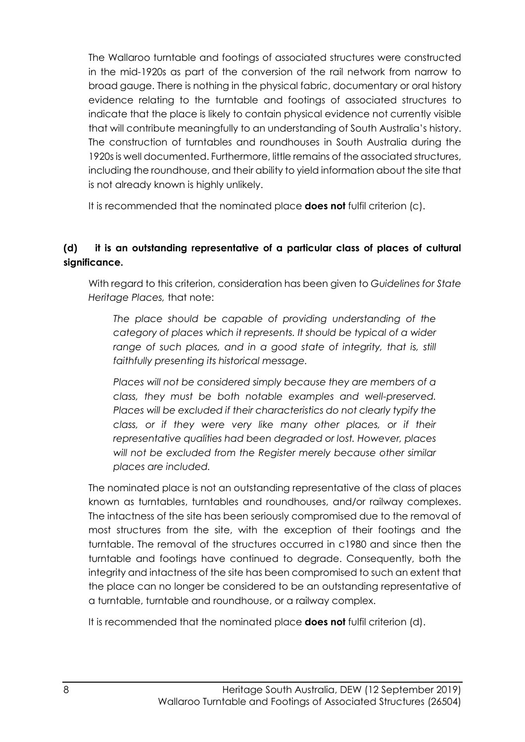The Wallaroo turntable and footings of associated structures were constructed in the mid-1920s as part of the conversion of the rail network from narrow to broad gauge. There is nothing in the physical fabric, documentary or oral history evidence relating to the turntable and footings of associated structures to indicate that the place is likely to contain physical evidence not currently visible that will contribute meaningfully to an understanding of South Australia's history. The construction of turntables and roundhouses in South Australia during the 1920s is well documented. Furthermore, little remains of the associated structures, including the roundhouse, and their ability to yield information about the site that is not already known is highly unlikely.

It is recommended that the nominated place **does not** fulfil criterion (c).

# **(d) it is an outstanding representative of a particular class of places of cultural significance.**

With regard to this criterion, consideration has been given to *Guidelines for State Heritage Places,* that note:

*The place should be capable of providing understanding of the category of places which it represents. It should be typical of a wider*  range of such places, and in a good state of integrity, that is, still *faithfully presenting its historical message.*

*Places will not be considered simply because they are members of a class, they must be both notable examples and well-preserved. Places will be excluded if their characteristics do not clearly typify the class, or if they were very like many other places, or if their representative qualities had been degraded or lost. However, places will not be excluded from the Register merely because other similar places are included.*

The nominated place is not an outstanding representative of the class of places known as turntables, turntables and roundhouses, and/or railway complexes. The intactness of the site has been seriously compromised due to the removal of most structures from the site, with the exception of their footings and the turntable. The removal of the structures occurred in c1980 and since then the turntable and footings have continued to degrade. Consequently, both the integrity and intactness of the site has been compromised to such an extent that the place can no longer be considered to be an outstanding representative of a turntable, turntable and roundhouse, or a railway complex.

It is recommended that the nominated place **does not** fulfil criterion (d).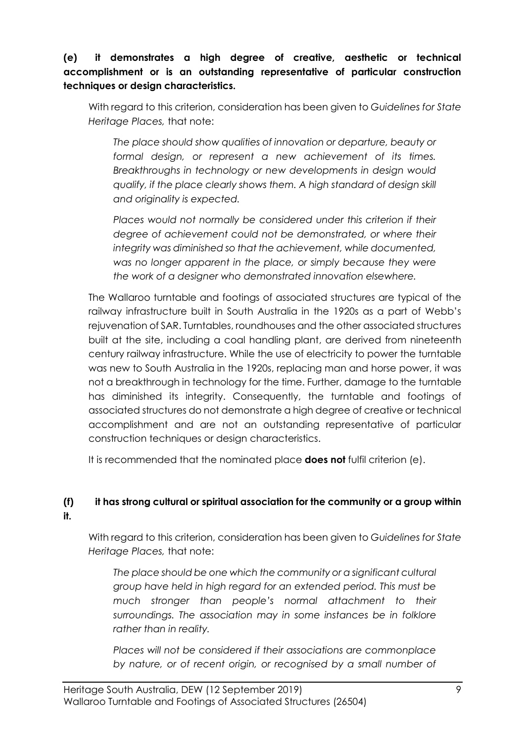# **(e) it demonstrates a high degree of creative, aesthetic or technical accomplishment or is an outstanding representative of particular construction techniques or design characteristics.**

With regard to this criterion, consideration has been given to *Guidelines for State Heritage Places,* that note:

*The place should show qualities of innovation or departure, beauty or formal design, or represent a new achievement of its times. Breakthroughs in technology or new developments in design would qualify, if the place clearly shows them. A high standard of design skill and originality is expected.*

*Places would not normally be considered under this criterion if their degree of achievement could not be demonstrated, or where their integrity was diminished so that the achievement, while documented, was no longer apparent in the place, or simply because they were the work of a designer who demonstrated innovation elsewhere.*

The Wallaroo turntable and footings of associated structures are typical of the railway infrastructure built in South Australia in the 1920s as a part of Webb's rejuvenation of SAR. Turntables, roundhouses and the other associated structures built at the site, including a coal handling plant, are derived from nineteenth century railway infrastructure. While the use of electricity to power the turntable was new to South Australia in the 1920s, replacing man and horse power, it was not a breakthrough in technology for the time. Further, damage to the turntable has diminished its integrity. Consequently, the turntable and footings of associated structures do not demonstrate a high degree of creative or technical accomplishment and are not an outstanding representative of particular construction techniques or design characteristics.

It is recommended that the nominated place **does not** fulfil criterion (e).

# **(f) it has strong cultural or spiritual association for the community or a group within it.**

With regard to this criterion, consideration has been given to *Guidelines for State Heritage Places,* that note:

*The place should be one which the community or a significant cultural group have held in high regard for an extended period. This must be much stronger than people's normal attachment to their surroundings. The association may in some instances be in folklore rather than in reality.*

*Places will not be considered if their associations are commonplace by nature, or of recent origin, or recognised by a small number of*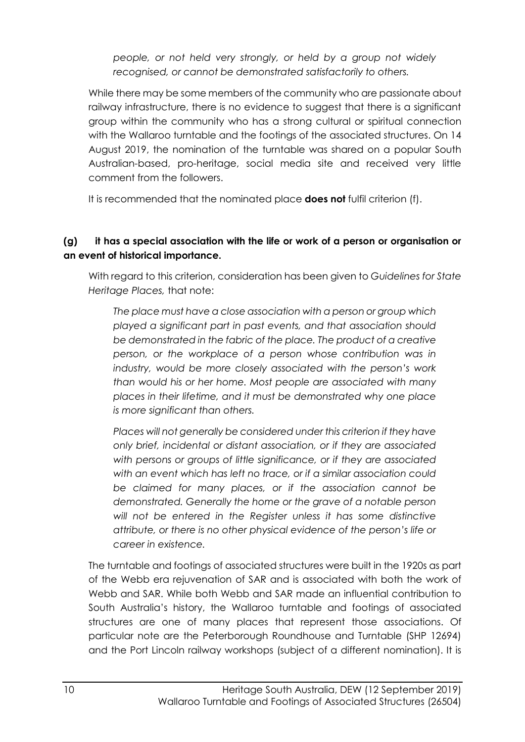*people, or not held very strongly, or held by a group not widely recognised, or cannot be demonstrated satisfactorily to others.*

While there may be some members of the community who are passionate about railway infrastructure, there is no evidence to suggest that there is a significant group within the community who has a strong cultural or spiritual connection with the Wallaroo turntable and the footings of the associated structures. On 14 August 2019, the nomination of the turntable was shared on a popular South Australian-based, pro-heritage, social media site and received very little comment from the followers.

It is recommended that the nominated place **does not** fulfil criterion (f).

# **(g) it has a special association with the life or work of a person or organisation or an event of historical importance.**

With regard to this criterion, consideration has been given to *Guidelines for State Heritage Places,* that note:

*The place must have a close association with a person or group which played a significant part in past events, and that association should be demonstrated in the fabric of the place. The product of a creative person, or the workplace of a person whose contribution was in industry, would be more closely associated with the person's work than would his or her home. Most people are associated with many places in their lifetime, and it must be demonstrated why one place is more significant than others.* 

*Places will not generally be considered under this criterion if they have only brief, incidental or distant association, or if they are associated with persons or groups of little significance, or if they are associated with an event which has left no trace, or if a similar association could be claimed for many places, or if the association cannot be demonstrated. Generally the home or the grave of a notable person will not be entered in the Register unless it has some distinctive attribute, or there is no other physical evidence of the person's life or career in existence.*

The turntable and footings of associated structures were built in the 1920s as part of the Webb era rejuvenation of SAR and is associated with both the work of Webb and SAR. While both Webb and SAR made an influential contribution to South Australia's history, the Wallaroo turntable and footings of associated structures are one of many places that represent those associations. Of particular note are the Peterborough Roundhouse and Turntable (SHP 12694) and the Port Lincoln railway workshops (subject of a different nomination). It is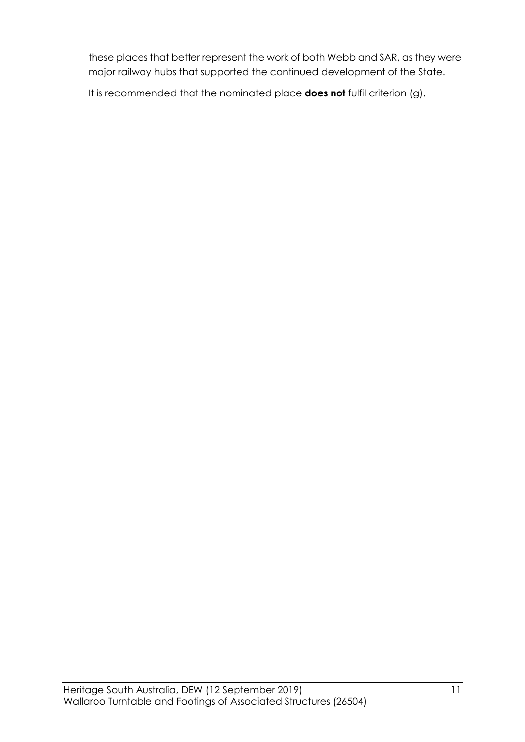these places that better represent the work of both Webb and SAR, as they were major railway hubs that supported the continued development of the State.

It is recommended that the nominated place **does not** fulfil criterion (g).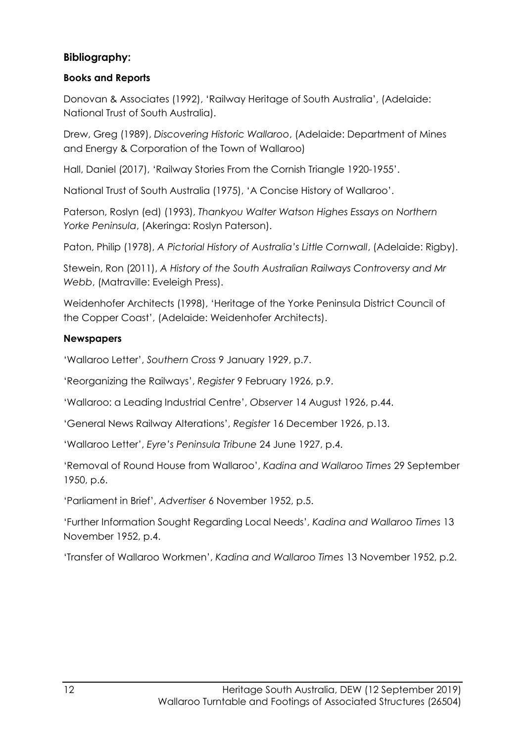# **Bibliography:**

## **Books and Reports**

Donovan & Associates (1992), 'Railway Heritage of South Australia', (Adelaide: National Trust of South Australia).

Drew, Greg (1989), *Discovering Historic Wallaroo*, (Adelaide: Department of Mines and Energy & Corporation of the Town of Wallaroo)

Hall, Daniel (2017), 'Railway Stories From the Cornish Triangle 1920-1955'.

National Trust of South Australia (1975), 'A Concise History of Wallaroo'.

Paterson, Roslyn (ed) (1993), *Thankyou Walter Watson Highes Essays on Northern Yorke Peninsula*, (Akeringa: Roslyn Paterson).

Paton, Philip (1978), *A Pictorial History of Australia's Little Cornwall*, (Adelaide: Rigby).

Stewein, Ron (2011), *A History of the South Australian Railways Controversy and Mr Webb*, (Matraville: Eveleigh Press).

Weidenhofer Architects (1998), 'Heritage of the Yorke Peninsula District Council of the Copper Coast', (Adelaide: Weidenhofer Architects).

### **Newspapers**

'Wallaroo Letter', *Southern Cross* 9 January 1929, p.7.

'Reorganizing the Railways', *Register* 9 February 1926, p.9.

'Wallaroo: a Leading Industrial Centre', *Observer* 14 August 1926, p.44.

'General News Railway Alterations', *Register* 16 December 1926, p.13.

'Wallaroo Letter', *Eyre's Peninsula Tribune* 24 June 1927, p.4.

'Removal of Round House from Wallaroo', *Kadina and Wallaroo Times* 29 September 1950, p.6.

'Parliament in Brief', *Advertiser* 6 November 1952, p.5.

'Further Information Sought Regarding Local Needs', *Kadina and Wallaroo Times* 13 November 1952, p.4.

'Transfer of Wallaroo Workmen', *Kadina and Wallaroo Times* 13 November 1952, p.2.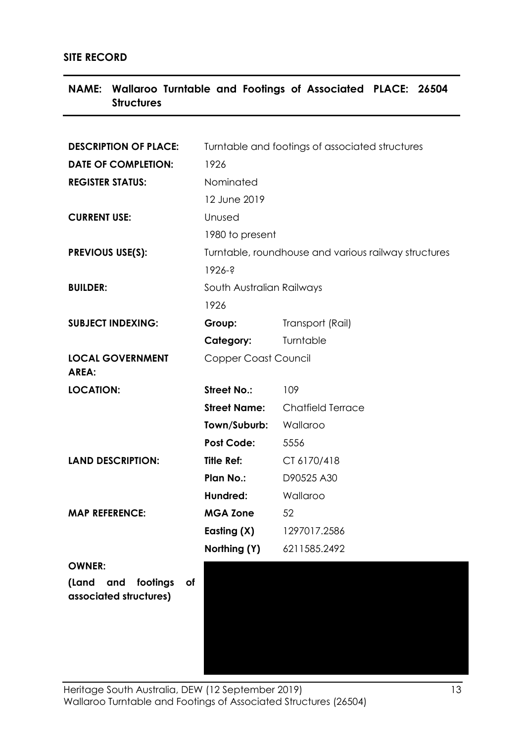#### **SITE RECORD**

| <b>Structures</b>                |                                                      |                          |  |  |  |  |
|----------------------------------|------------------------------------------------------|--------------------------|--|--|--|--|
|                                  |                                                      |                          |  |  |  |  |
| <b>DESCRIPTION OF PLACE:</b>     | Turntable and footings of associated structures      |                          |  |  |  |  |
| <b>DATE OF COMPLETION:</b>       | 1926                                                 |                          |  |  |  |  |
| <b>REGISTER STATUS:</b>          | Nominated                                            |                          |  |  |  |  |
|                                  | 12 June 2019                                         |                          |  |  |  |  |
| <b>CURRENT USE:</b>              | Unused<br>1980 to present                            |                          |  |  |  |  |
|                                  |                                                      |                          |  |  |  |  |
| <b>PREVIOUS USE(S):</b>          | Turntable, roundhouse and various railway structures |                          |  |  |  |  |
|                                  | $1926 - ?$                                           |                          |  |  |  |  |
| <b>BUILDER:</b>                  | South Australian Railways                            |                          |  |  |  |  |
|                                  | 1926                                                 |                          |  |  |  |  |
| <b>SUBJECT INDEXING:</b>         | Group:                                               | Transport (Rail)         |  |  |  |  |
|                                  | Category:                                            | Turntable                |  |  |  |  |
| <b>LOCAL GOVERNMENT</b><br>AREA: | Copper Coast Council                                 |                          |  |  |  |  |
| <b>LOCATION:</b>                 | <b>Street No.:</b>                                   | 109                      |  |  |  |  |
|                                  | <b>Street Name:</b>                                  | <b>Chatfield Terrace</b> |  |  |  |  |
|                                  | Town/Suburb: Wallaroo                                |                          |  |  |  |  |
|                                  | <b>Post Code:</b>                                    | 5556                     |  |  |  |  |
| <b>LAND DESCRIPTION:</b>         | <b>Title Ref:</b>                                    | CT 6170/418              |  |  |  |  |
|                                  | <b>Plan No.:</b>                                     | D90525 A30               |  |  |  |  |
|                                  | Hundred:                                             | Wallaroo                 |  |  |  |  |
| <b>MAP REFERENCE:</b>            | <b>MGA Zone</b>                                      | 52                       |  |  |  |  |
|                                  | Easting (X)                                          | 1297017.2586             |  |  |  |  |
|                                  | Northing (Y)                                         | 6211585.2492             |  |  |  |  |
| <b>OWNER:</b>                    |                                                      |                          |  |  |  |  |
| (Land<br>and<br>footings<br>of   |                                                      |                          |  |  |  |  |
| associated structures)           |                                                      |                          |  |  |  |  |
|                                  |                                                      |                          |  |  |  |  |
|                                  |                                                      |                          |  |  |  |  |
|                                  |                                                      |                          |  |  |  |  |

**NAME: Wallaroo Turntable and Footings of Associated PLACE: 26504**

Heritage South Australia, DEW (12 September 2019) 13 Wallaroo Turntable and Footings of Associated Structures (26504)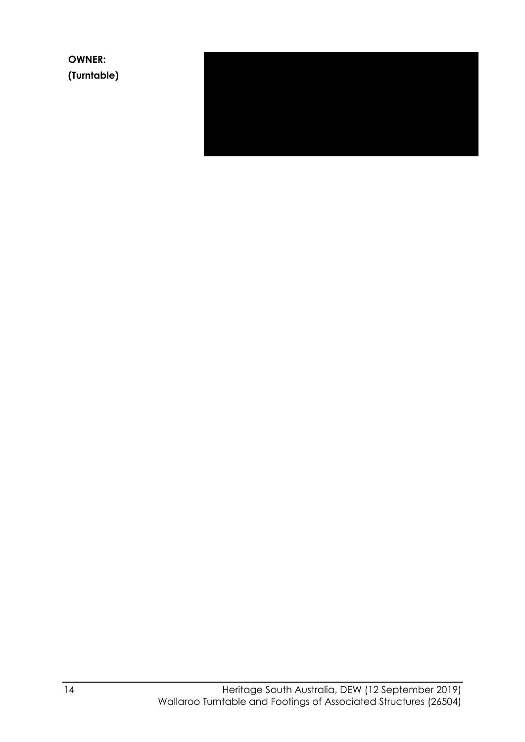**OWNER: (Turntable)**

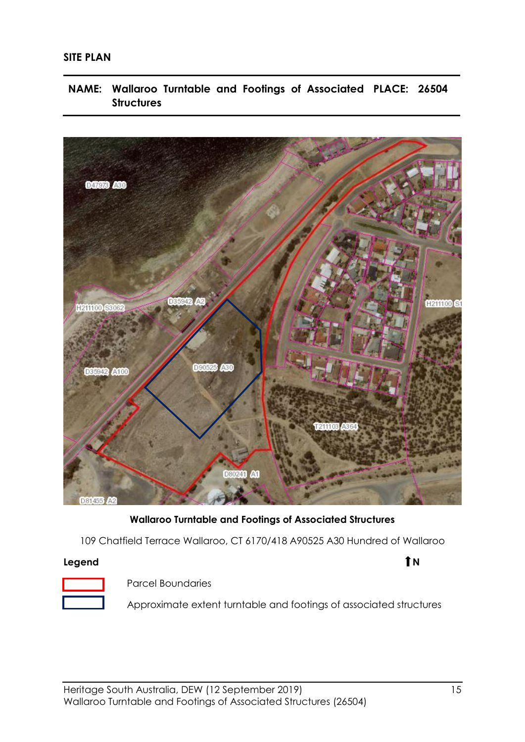#### **SITE PLAN**

**NAME: Wallaroo Turntable and Footings of Associated PLACE: 26504 Structures**



**Wallaroo Turntable and Footings of Associated Structures** 

109 Chatfield Terrace Wallaroo, CT 6170/418 A90525 A30 Hundred of Wallaroo

#### **Legend 1 N**

Parcel Boundaries

Approximate extent turntable and footings of associated structures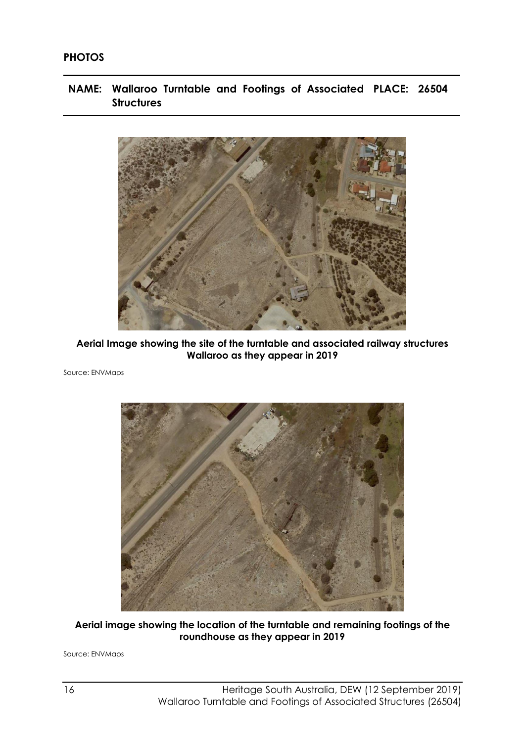#### **PHOTOS**

**NAME: Wallaroo Turntable and Footings of Associated PLACE: 26504 Structures**



**Aerial Image showing the site of the turntable and associated railway structures Wallaroo as they appear in 2019**

Source: ENVMaps



**Aerial image showing the location of the turntable and remaining footings of the roundhouse as they appear in 2019**

Source: ENVMaps